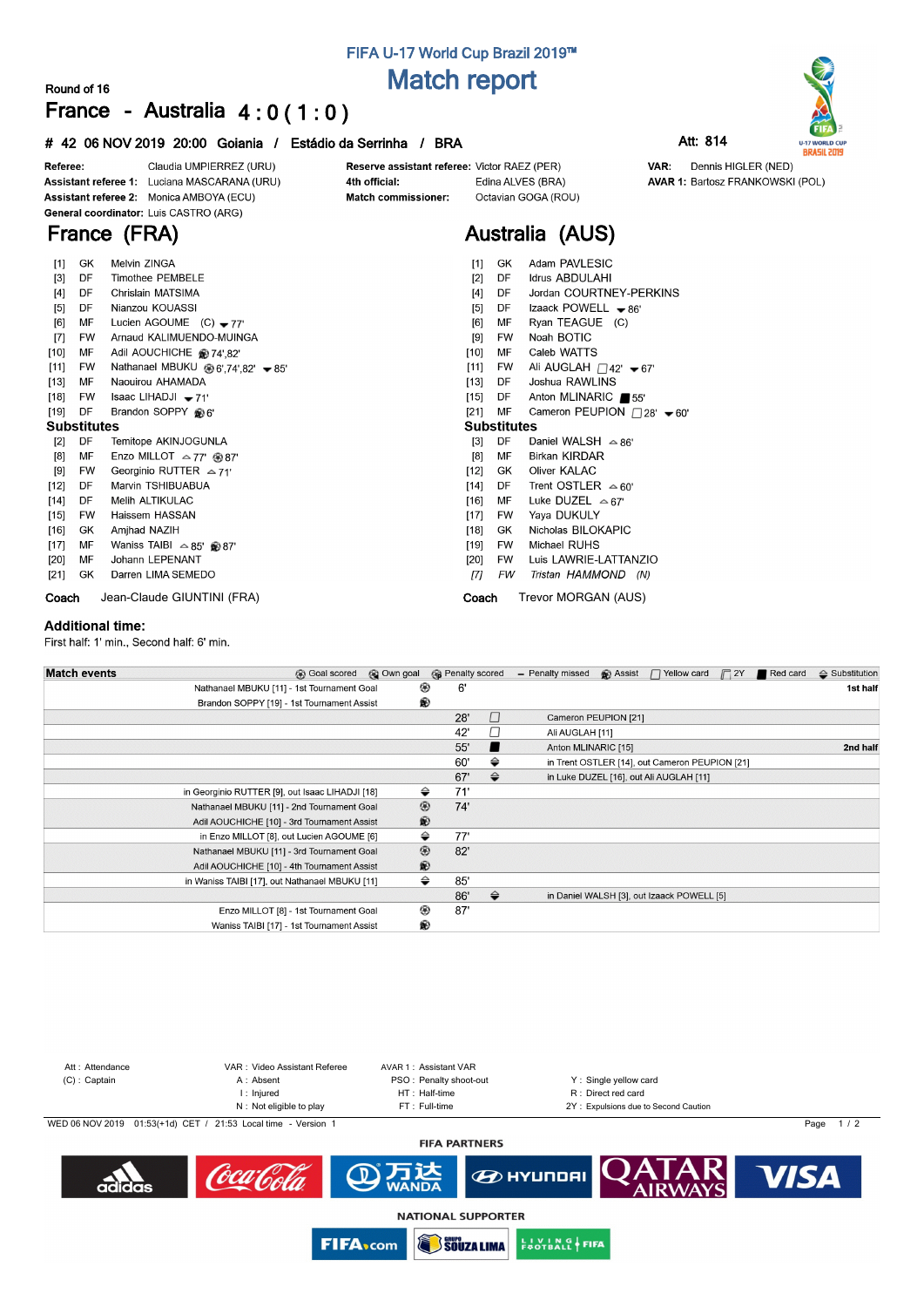## **FIFA U-17 World Cup Brazil 2019™ Match report**

### **Round of 16**

**France (FRA)**

# **France - Australia 4 : 0 ( 1 : 0 )**

### **# 42 06 NOV 2019 20:00 Goiania / Estádio da Serrinha / BRA Att: 814**



Dennis HIGLER (NED)

**AVAR 1: Bartosz FRANKOWSKI (POL)** 

VAR:



Claudia UMPIERREZ (URU) Referee: Assistant referee 1: Luciana MASCARANA (URU) Assistant referee 2: Monica AMBOYA (ECU) General coordinator: Luis CASTRO (ARG)

#### Reserve assistant referee: Victor RAEZ (PER) 4th official: Match commissioner:

Edina ALVES (BRA) Octavian GOGA (ROU)

# **Australia (AUS)**

| [1]                | GK        | Melvin ZINGA                                           | Adam PAVLESIC<br>[1]<br>GK                                           |
|--------------------|-----------|--------------------------------------------------------|----------------------------------------------------------------------|
| $[3]$              | DF        | <b>Timothee PEMBELE</b>                                | <b>Idrus ABDULAHI</b><br>[2]<br>DF                                   |
| $[4]$              | DF        | Chrislain MATSIMA                                      | [4]<br>Jordan COURTNEY-PERKINS<br>DF                                 |
| [5]                | DF        | Nianzou KOUASSI                                        | Izaack POWELL $\bullet$ 86'<br>[5]<br>DF                             |
| [6]                | MF        | Lucien AGOUME $(C) - 77'$                              | [6]<br>MF<br>Ryan TEAGUE (C)                                         |
| $[7]$              | <b>FW</b> | Arnaud KALIMUENDO-MUINGA                               | Noah BOTIC<br>[9]<br><b>FW</b>                                       |
| $[10]$             | MF        | Adil AOUCHICHE @ 74',82'                               | MF<br>Caleb WATTS<br>$[10]$                                          |
| [11]               | FW        | Nathanael MBUKU $\circledast$ 6',74',82' $\bullet$ 85' | Ali AUGLAH $\Box$ 42' $\blacktriangleright$ 67'<br>$[11]$<br>FW      |
| $[13]$             | MF        | Naouirou AHAMADA                                       | Joshua RAWLINS<br>[13]<br>DF                                         |
| $[18]$             | <b>FW</b> | Isaac LIHADJI $\bullet$ 71'                            | $[15]$<br>Anton MLINARIC ■55'<br>DF                                  |
| $[19]$             | DF        | Brandon SOPPY @6'                                      | $[21]$<br>MF<br>Cameron PEUPION $\Box$ 28' $\blacktriangleright$ 60' |
| <b>Substitutes</b> |           |                                                        | <b>Substitutes</b>                                                   |
| $[2]$              | DF        | Temitope AKINJOGUNLA                                   | DF<br>$[3]$<br>Daniel WALSH $\approx$ 86'                            |
| [8]                | MF        | Enzo MILLOT $\approx$ 77' $\circledast$ 87'            | <b>Birkan KIRDAR</b><br>[8]<br>MF                                    |
| [9]                | <b>FW</b> | Georginio RUTTER $\approx$ 71'                         | Oliver KALAC<br>$[12]$<br>GK                                         |
| $[12]$             | DF        | Marvin TSHIBUABUA                                      | Trent OSTLER $\approx 60'$<br>$[14]$<br>DF                           |
| $[14]$             | DF        | Melih ALTIKULAC                                        | MF<br>Luke DUZEL $\approx$ 67'<br>$[16]$                             |
| $[15]$             | <b>FW</b> | Haissem HASSAN                                         | Yaya DUKULY<br>[17]<br>FW                                            |
| $[16]$             | GK.       | Amjhad NAZIH                                           | Nicholas BILOKAPIC<br>$[18]$<br>GK.                                  |
| $[17]$             | MF        | Waniss TAIBI $\approx 85'$ @ 87'                       | Michael RUHS<br>[19]<br><b>FW</b>                                    |
| $[20]$             | MF        | Johann LEPENANT                                        | Luis LAWRIE-LATTANZIO<br>[20]<br>FW                                  |
| [21]               | GK        | Darren LIMA SEMEDO                                     | Π1<br>FW<br>Tristan HAMMOND (N)                                      |
| Coach              |           | Jean-Claude GIUNTINI (FRA)                             | Trevor MORGAN (AUS)<br>Coach                                         |

#### **Additional time:**

First half: 1' min., Second half: 6' min.

| <b>Match events</b> | <b>B</b> Goal scored                            | © Own goal     | <b>B</b> Penalty scored |               | - Penalty missed    | <b>B</b> Assist      | $\Box$ Yellow card                             | $\Box$ 2Y | Red card | $\Leftrightarrow$ Substitution |
|---------------------|-------------------------------------------------|----------------|-------------------------|---------------|---------------------|----------------------|------------------------------------------------|-----------|----------|--------------------------------|
|                     | Nathanael MBUKU [11] - 1st Tournament Goal      | ⊛              | 6'                      |               |                     |                      |                                                |           |          | 1st half                       |
|                     | Brandon SOPPY [19] - 1st Tournament Assist      | ®              |                         |               |                     |                      |                                                |           |          |                                |
|                     |                                                 |                | 28'                     | $\Box$        |                     | Cameron PEUPION [21] |                                                |           |          |                                |
|                     |                                                 |                | 42'                     | П             | Ali AUGLAH [11]     |                      |                                                |           |          |                                |
|                     |                                                 |                | 55'                     |               | Anton MLINARIC [15] |                      |                                                |           |          | 2nd half                       |
|                     |                                                 |                | 60'                     | ⇔             |                     |                      | in Trent OSTLER [14], out Cameron PEUPION [21] |           |          |                                |
|                     |                                                 |                | 67'                     | $\Rightarrow$ |                     |                      | in Luke DUZEL [16], out Ali AUGLAH [11]        |           |          |                                |
|                     | in Georginio RUTTER [9], out Isaac LIHADJI [18] | ⇔              | 71'                     |               |                     |                      |                                                |           |          |                                |
|                     | Nathanael MBUKU [11] - 2nd Tournament Goal      | $^{\circledR}$ | 74'                     |               |                     |                      |                                                |           |          |                                |
|                     | Adil AOUCHICHE [10] - 3rd Tournament Assist     | ®              |                         |               |                     |                      |                                                |           |          |                                |
|                     | in Enzo MILLOT [8], out Lucien AGOUME [6]       | ⇔              | 77'                     |               |                     |                      |                                                |           |          |                                |
|                     | Nathanael MBUKU [11] - 3rd Tournament Goal      | $^{\circledR}$ | 82'                     |               |                     |                      |                                                |           |          |                                |
|                     | Adil AOUCHICHE [10] - 4th Tournament Assist     | ®              |                         |               |                     |                      |                                                |           |          |                                |
|                     | in Waniss TAIBI [17], out Nathanael MBUKU [11]  | ⇔              | 85'                     |               |                     |                      |                                                |           |          |                                |
|                     |                                                 |                | 86'                     | $\Rightarrow$ |                     |                      | in Daniel WALSH [3], out Izaack POWELL [5]     |           |          |                                |
|                     | Enzo MILLOT [8] - 1st Tournament Goal           | ◉              | 87'                     |               |                     |                      |                                                |           |          |                                |
|                     | Waniss TAIBI [17] - 1st Tournament Assist       | ®              |                         |               |                     |                      |                                                |           |          |                                |



**SOUZA LIMA** 

**EUVING FIFA** 

**FIFA**<sub>com</sub>